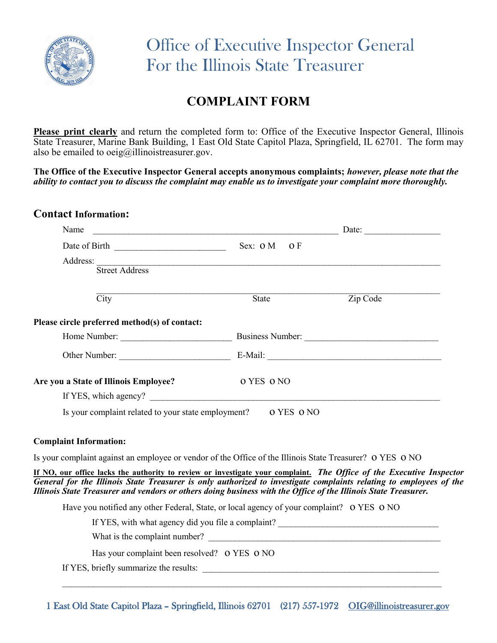

## **COMPLAINT FORM**

**Please print clearly** and return the completed form to: Office of the Executive Inspector General, Illinois State Treasurer, Marine Bank Building, 1 East Old State Capitol Plaza, Springfield, IL 62701. The form may also be emailed to  $oeig@$ illinoistreasurer.gov.

**The Office of the Executive Inspector General accepts anonymous complaints;** *however, please note that the ability to contact you to discuss the complaint may enable us to investigate your complaint more thoroughly.*

| <b>Contact Information:</b>                                                                                                                                                                                                                                                                                                                                  |                                                                              |                                                                                   |
|--------------------------------------------------------------------------------------------------------------------------------------------------------------------------------------------------------------------------------------------------------------------------------------------------------------------------------------------------------------|------------------------------------------------------------------------------|-----------------------------------------------------------------------------------|
| Name                                                                                                                                                                                                                                                                                                                                                         | <u> 1989 - Johann Barn, mars ann an Catharine ann an Catharine ann an t-</u> | Date:                                                                             |
| Date of Birth                                                                                                                                                                                                                                                                                                                                                | Sex: O M<br>O <sub>F</sub>                                                   |                                                                                   |
|                                                                                                                                                                                                                                                                                                                                                              |                                                                              |                                                                                   |
| Street Address                                                                                                                                                                                                                                                                                                                                               |                                                                              |                                                                                   |
| $\overline{City}$                                                                                                                                                                                                                                                                                                                                            | State                                                                        | Zip Code                                                                          |
| Please circle preferred method(s) of contact:                                                                                                                                                                                                                                                                                                                |                                                                              |                                                                                   |
| Home Number: Business Number: Business Number:                                                                                                                                                                                                                                                                                                               |                                                                              |                                                                                   |
|                                                                                                                                                                                                                                                                                                                                                              |                                                                              |                                                                                   |
| Are you a State of Illinois Employee?                                                                                                                                                                                                                                                                                                                        | o YES o NO                                                                   |                                                                                   |
|                                                                                                                                                                                                                                                                                                                                                              |                                                                              |                                                                                   |
| Is your complaint related to your state employment? 0 YES 0 NO                                                                                                                                                                                                                                                                                               |                                                                              |                                                                                   |
| <b>Complaint Information:</b>                                                                                                                                                                                                                                                                                                                                |                                                                              |                                                                                   |
| Is your complaint against an employee or vendor of the Office of the Illinois State Treasurer? O YES O NO                                                                                                                                                                                                                                                    |                                                                              |                                                                                   |
| If NO, our office lacks the authority to review or investigate your complaint. The Office of the Executive Inspector<br>General for the Illinois State Treasurer is only authorized to investigate complaints relating to employees of the<br>Illinois State Treasurer and vendors or others doing business with the Office of the Illinois State Treasurer. |                                                                              |                                                                                   |
|                                                                                                                                                                                                                                                                                                                                                              |                                                                              |                                                                                   |
| Have you notified any other Federal, State, or local agency of your complaint? O YES O NO                                                                                                                                                                                                                                                                    |                                                                              |                                                                                   |
|                                                                                                                                                                                                                                                                                                                                                              |                                                                              | If YES, with what agency did you file a complaint? ______________________________ |
|                                                                                                                                                                                                                                                                                                                                                              |                                                                              |                                                                                   |
| Has your complaint been resolved? O YES O NO                                                                                                                                                                                                                                                                                                                 |                                                                              |                                                                                   |

1 East Old State Capitol Plaza – Springfield, Illinois 62701 (217) 557-1972 [OIG@illinoistreasurer.gov](mailto:OIG@illinoistreasurer.gov)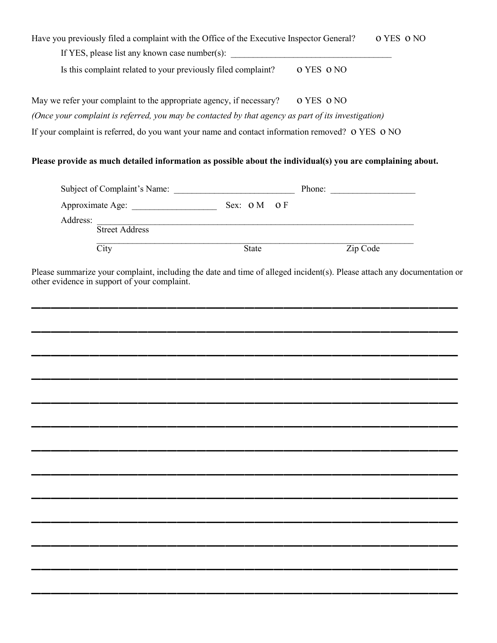| Have you previously filed a complaint with the Office of the Executive Inspector General?                                                                               |       | o YES o NO |
|-------------------------------------------------------------------------------------------------------------------------------------------------------------------------|-------|------------|
| If YES, please list any known case number(s): ___________________________________                                                                                       |       |            |
| Is this complaint related to your previously filed complaint?    Q YES O NO                                                                                             |       |            |
| May we refer your complaint to the appropriate agency, if necessary?   0 YES 0 NO                                                                                       |       |            |
| (Once your complaint is referred, you may be contacted by that agency as part of its investigation)                                                                     |       |            |
| If your complaint is referred, do you want your name and contact information removed? O YES O NO                                                                        |       |            |
| Please provide as much detailed information as possible about the individual(s) you are complaining about.                                                              |       |            |
|                                                                                                                                                                         |       |            |
|                                                                                                                                                                         |       |            |
| Address:<br>Street Address                                                                                                                                              |       |            |
|                                                                                                                                                                         |       |            |
|                                                                                                                                                                         |       |            |
| City                                                                                                                                                                    | State | Zip Code   |
|                                                                                                                                                                         |       |            |
|                                                                                                                                                                         |       |            |
|                                                                                                                                                                         |       |            |
|                                                                                                                                                                         |       |            |
|                                                                                                                                                                         |       |            |
| Please summarize your complaint, including the date and time of alleged incident(s). Please attach any documentation or<br>other evidence in support of your complaint. |       |            |

\_\_\_\_\_\_\_\_\_\_\_\_\_\_\_\_\_\_\_\_\_\_\_\_\_\_\_\_\_\_\_\_\_\_\_\_\_\_\_\_\_\_\_\_

\_\_\_\_\_\_\_\_\_\_\_\_\_\_\_\_\_\_\_\_\_\_\_\_\_\_\_\_\_\_\_\_\_\_\_\_\_\_\_\_\_\_\_\_

\_\_\_\_\_\_\_\_\_\_\_\_\_\_\_\_\_\_\_\_\_\_\_\_\_\_\_\_\_\_\_\_\_\_\_\_\_\_\_\_\_\_\_\_

\_\_\_\_\_\_\_\_\_\_\_\_\_\_\_\_\_\_\_\_\_\_\_\_\_\_\_\_\_\_\_\_\_\_\_\_\_\_\_\_\_\_\_\_